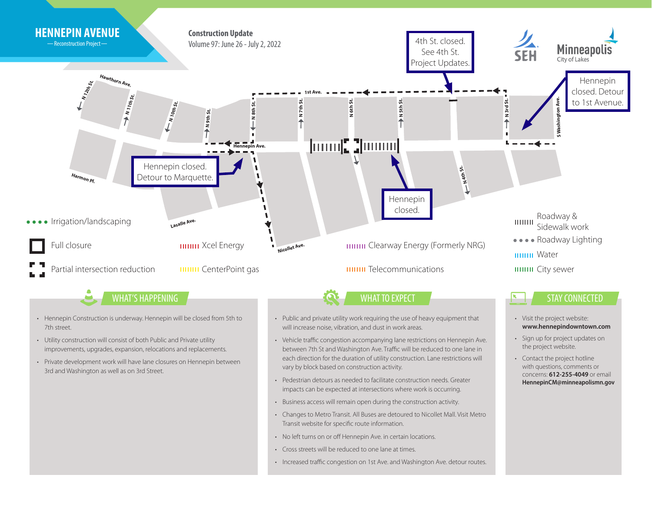

• Increased traffic congestion on 1st Ave. and Washington Ave. detour routes.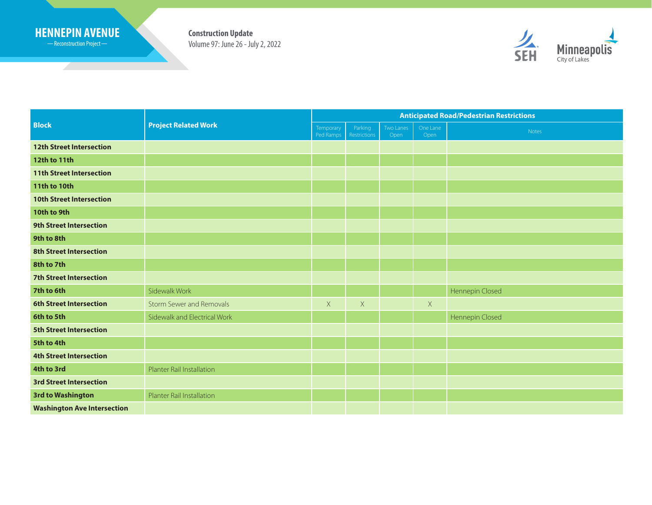## **HENNEPIN AVENUE Construction Update**

Reconstruction Project

<u> Samuel San</u>

Volume 97: June 26 - July 2, 2022



| <b>Block</b>                       | <b>Project Related Work</b>     | <b>Anticipated Road/Pedestrian Restrictions</b> |                         |                   |                  |                 |
|------------------------------------|---------------------------------|-------------------------------------------------|-------------------------|-------------------|------------------|-----------------|
|                                    |                                 | Temporary<br>Ped Ramps                          | Parking<br>Restrictions | Two Lanes<br>Open | One Lane<br>Open | Notes           |
| <b>12th Street Intersection</b>    |                                 |                                                 |                         |                   |                  |                 |
| 12th to 11th                       |                                 |                                                 |                         |                   |                  |                 |
| <b>11th Street Intersection</b>    |                                 |                                                 |                         |                   |                  |                 |
| <b>11th to 10th</b>                |                                 |                                                 |                         |                   |                  |                 |
| <b>10th Street Intersection</b>    |                                 |                                                 |                         |                   |                  |                 |
| 10th to 9th                        |                                 |                                                 |                         |                   |                  |                 |
| <b>9th Street Intersection</b>     |                                 |                                                 |                         |                   |                  |                 |
| 9th to 8th                         |                                 |                                                 |                         |                   |                  |                 |
| <b>8th Street Intersection</b>     |                                 |                                                 |                         |                   |                  |                 |
| 8th to 7th                         |                                 |                                                 |                         |                   |                  |                 |
| <b>7th Street Intersection</b>     |                                 |                                                 |                         |                   |                  |                 |
| 7th to 6th                         | Sidewalk Work                   |                                                 |                         |                   |                  | Hennepin Closed |
| <b>6th Street Intersection</b>     | <b>Storm Sewer and Removals</b> | $\mathsf X$                                     | $\mathsf X$             |                   | $\mathsf X$      |                 |
| 6th to 5th                         | Sidewalk and Electrical Work    |                                                 |                         |                   |                  | Hennepin Closed |
| <b>5th Street Intersection</b>     |                                 |                                                 |                         |                   |                  |                 |
| 5th to 4th                         |                                 |                                                 |                         |                   |                  |                 |
| <b>4th Street Intersection</b>     |                                 |                                                 |                         |                   |                  |                 |
| 4th to 3rd                         | Planter Rail Installation       |                                                 |                         |                   |                  |                 |
| <b>3rd Street Intersection</b>     |                                 |                                                 |                         |                   |                  |                 |
| <b>3rd to Washington</b>           | Planter Rail Installation       |                                                 |                         |                   |                  |                 |
| <b>Washington Ave Intersection</b> |                                 |                                                 |                         |                   |                  |                 |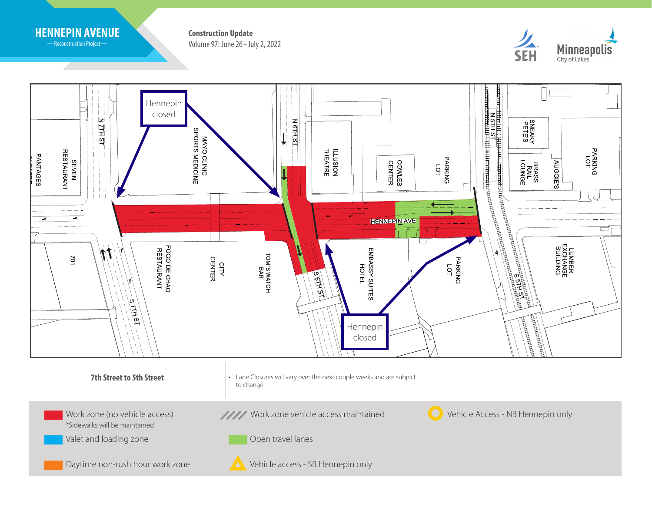

-Reconstruction Project-

Volume 97: June 26 - July 2, 2022